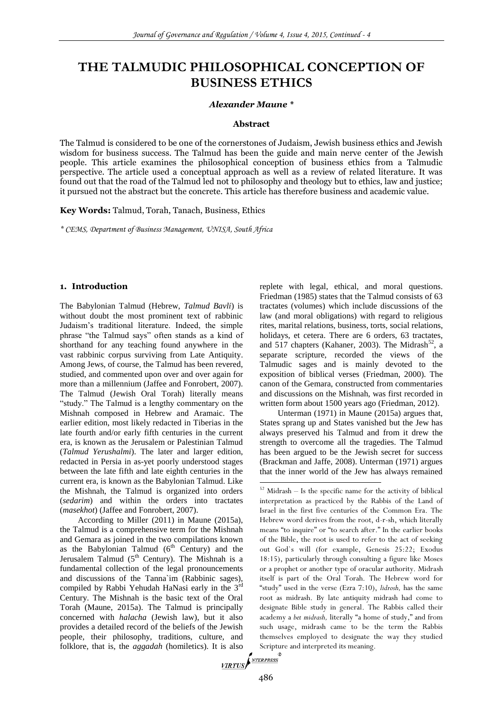# **THE TALMUDIC PHILOSOPHICAL CONCEPTION OF BUSINESS ETHICS**

#### *Alexander Maune \**

#### **Abstract**

The Talmud is considered to be one of the cornerstones of Judaism, Jewish business ethics and Jewish wisdom for business success. The Talmud has been the guide and main nerve center of the Jewish people. This article examines the philosophical conception of business ethics from a Talmudic perspective. The article used a conceptual approach as well as a review of related literature. It was found out that the road of the Talmud led not to philosophy and theology but to ethics, law and justice; it pursued not the abstract but the concrete. This article has therefore business and academic value.

**Key Words:** Talmud, Torah, Tanach, Business, Ethics

*\* CEMS, Department of Business Management, UNISA, South Africa*

#### **1. Introduction**

The Babylonian Talmud (Hebrew, *Talmud Bavli*) is without doubt the most prominent text of rabbinic Judaism's traditional literature. Indeed, the simple phrase "the Talmud says" often stands as a kind of shorthand for any teaching found anywhere in the vast rabbinic corpus surviving from Late Antiquity. Among Jews, of course, the Talmud has been revered, studied, and commented upon over and over again for more than a millennium (Jaffee and Fonrobert, 2007). The Talmud (Jewish Oral Torah) literally means "study." The Talmud is a lengthy commentary on the Mishnah composed in Hebrew and Aramaic. The earlier edition, most likely redacted in Tiberias in the late fourth and/or early fifth centuries in the current era, is known as the Jerusalem or Palestinian Talmud (*Talmud Yerushalmi*). The later and larger edition, redacted in Persia in as-yet poorly understood stages between the late fifth and late eighth centuries in the current era, is known as the Babylonian Talmud. Like the Mishnah, the Talmud is organized into orders (*sedarim*) and within the orders into tractates (*masekhot*) (Jaffee and Fonrobert, 2007).

According to Miller (2011) in Maune (2015a), the Talmud is a comprehensive term for the Mishnah and Gemara as joined in the two compilations known as the Babylonian Talmud  $(6<sup>th</sup>$  Century) and the Jerusalem Talmud  $(5<sup>th</sup> Century)$ . The Mishnah is a fundamental collection of the legal pronouncements and discussions of the Tanna`im (Rabbinic sages), compiled by Rabbi Yehudah HaNasi early in the 3rd Century. The Mishnah is the basic text of the Oral Torah (Maune, 2015a). The Talmud is principally concerned with *halacha* (Jewish law), but it also provides a detailed record of the beliefs of the Jewish people, their philosophy, traditions, culture, and folklore, that is, the *aggadah* (homiletics). It is also Scriptus Series of the *NTERPRESS* 

replete with legal, ethical, and moral questions. Friedman (1985) states that the Talmud consists of 63 tractates (volumes) which include discussions of the law (and moral obligations) with regard to religious rites, marital relations, business, torts, social relations, holidays, et cetera. There are 6 orders, 63 tractates, and 517 chapters (Kahaner, 2003). The Midrash<sup>52</sup>, a separate scripture, recorded the views of the Talmudic sages and is mainly devoted to the exposition of biblical verses (Friedman, 2000). The canon of the Gemara, constructed from commentaries and discussions on the Mishnah, was first recorded in written form about 1500 years ago (Friedman, 2012).

Unterman (1971) in Maune (2015a) argues that, States sprang up and States vanished but the Jew has always preserved his Talmud and from it drew the strength to overcome all the tragedies. The Talmud has been argued to be the Jewish secret for success (Brackman and Jaffe, 2008). Unterman (1971) argues that the inner world of the Jew has always remained

 $52$  Midrash – Is the specific name for the activity of biblical interpretation as practiced by the Rabbis of the Land of Israel in the first five centuries of the Common Era. The Hebrew word derives from the root, d-r-sh, which literally means "to inquire" or "to search after." In the earlier books of the Bible, the root is used to refer to the act of seeking out God`s will (for example, Genesis 25:22; Exodus 18:15), particularly through consulting a figure like Moses or a prophet or another type of oracular authority. Midrash itself is part of the Oral Torah. The Hebrew word for "study" used in the verse (Ezra 7:10), *lidrosh,* has the same root as midrash. By late antiquity midrash had come to designate Bible study in general. The Rabbis called their academy a *bet midrash,* literally "a home of study," and from such usage, midrash came to be the term the Rabbis themselves employed to designate the way they studied Scripture and interpreted its meaning.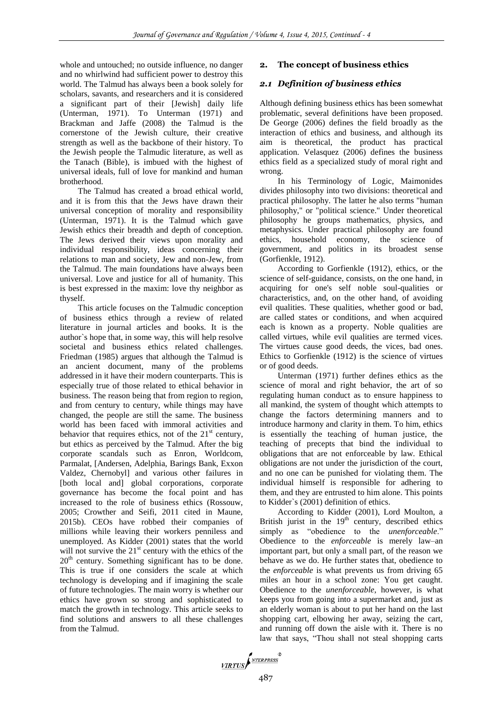whole and untouched; no outside influence, no danger and no whirlwind had sufficient power to destroy this world. The Talmud has always been a book solely for scholars, savants, and researchers and it is considered a significant part of their [Jewish] daily life (Unterman, 1971). To Unterman (1971) and Brackman and Jaffe (2008) the Talmud is the cornerstone of the Jewish culture, their creative strength as well as the backbone of their history. To the Jewish people the Talmudic literature, as well as the Tanach (Bible), is imbued with the highest of universal ideals, full of love for mankind and human brotherhood.

The Talmud has created a broad ethical world, and it is from this that the Jews have drawn their universal conception of morality and responsibility (Unterman, 1971). It is the Talmud which gave Jewish ethics their breadth and depth of conception. The Jews derived their views upon morality and individual responsibility, ideas concerning their relations to man and society, Jew and non-Jew, from the Talmud. The main foundations have always been universal. Love and justice for all of humanity. This is best expressed in the maxim: love thy neighbor as thyself.

This article focuses on the Talmudic conception of business ethics through a review of related literature in journal articles and books. It is the author`s hope that, in some way, this will help resolve societal and business ethics related challenges. Friedman (1985) argues that although the Talmud is an ancient document, many of the problems addressed in it have their modern counterparts. This is especially true of those related to ethical behavior in business. The reason being that from region to region, and from century to century, while things may have changed, the people are still the same. The business world has been faced with immoral activities and behavior that requires ethics, not of the  $21<sup>st</sup>$  century, but ethics as perceived by the Talmud. After the big corporate scandals such as Enron, Worldcom, Parmalat, [Andersen, Adelphia, Barings Bank, Exxon Valdez, Chernobyl] and various other failures in [both local and] global corporations, corporate governance has become the focal point and has increased to the role of business ethics (Rossouw, 2005; Crowther and Seifi, 2011 cited in Maune, 2015b). CEOs have robbed their companies of millions while leaving their workers penniless and unemployed. As Kidder (2001) states that the world will not survive the  $21<sup>st</sup>$  century with the ethics of the  $20<sup>th</sup>$  century. Something significant has to be done. This is true if one considers the scale at which technology is developing and if imagining the scale of future technologies. The main worry is whether our ethics have grown so strong and sophisticated to match the growth in technology. This article seeks to find solutions and answers to all these challenges from the Talmud.

# **2. The concept of business ethics**

# *2.1 Definition of business ethics*

Although defining business ethics has been somewhat problematic, several definitions have been proposed. De George (2006) defines the field broadly as the interaction of ethics and business, and although its aim is theoretical, the product has practical application. Velasquez (2006) defines the business ethics field as a specialized study of moral right and wrong.

In his Terminology of Logic, Maimonides divides philosophy into two divisions: theoretical and practical philosophy. The latter he also terms "human philosophy," or "political science." Under theoretical philosophy he groups mathematics, physics, and metaphysics. Under practical philosophy are found ethics, household economy, the science of government, and politics in its broadest sense (Gorfienkle, 1912).

According to Gorfienkle (1912), ethics, or the science of self-guidance, consists, on the one hand, in acquiring for one's self noble soul-qualities or characteristics, and, on the other hand, of avoiding evil qualities. These qualities, whether good or bad, are called states or conditions, and when acquired each is known as a property. Noble qualities are called virtues, while evil qualities are termed vices. The virtues cause good deeds, the vices, bad ones. Ethics to Gorfienkle (1912) is the science of virtues or of good deeds.

Unterman (1971) further defines ethics as the science of moral and right behavior, the art of so regulating human conduct as to ensure happiness to all mankind, the system of thought which attempts to change the factors determining manners and to introduce harmony and clarity in them. To him, ethics is essentially the teaching of human justice, the teaching of precepts that bind the individual to obligations that are not enforceable by law. Ethical obligations are not under the jurisdiction of the court, and no one can be punished for violating them. The individual himself is responsible for adhering to them, and they are entrusted to him alone. This points to Kidder`s (2001) definition of ethics.

According to Kidder (2001), Lord Moulton, a British jurist in the  $19<sup>th</sup>$  century, described ethics simply as "obedience to the *unenforceable*." Obedience to the *enforceable* is merely law–an important part, but only a small part, of the reason we behave as we do. He further states that, obedience to the *enforceable* is what prevents us from driving 65 miles an hour in a school zone: You get caught. Obedience to the *unenforceable*, however, is what keeps you from going into a supermarket and, just as an elderly woman is about to put her hand on the last shopping cart, elbowing her away, seizing the cart, and running off down the aisle with it. There is no law that says, "Thou shall not steal shopping carts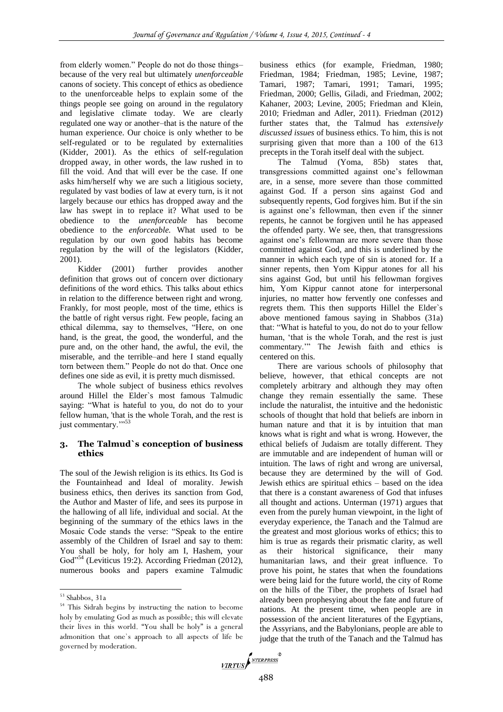from elderly women." People do not do those things– because of the very real but ultimately *unenforceable* canons of society. This concept of ethics as obedience to the unenforceable helps to explain some of the things people see going on around in the regulatory and legislative climate today. We are clearly regulated one way or another–that is the nature of the human experience. Our choice is only whether to be self-regulated or to be regulated by externalities (Kidder, 2001). As the ethics of self-regulation dropped away, in other words, the law rushed in to fill the void. And that will ever be the case. If one asks him/herself why we are such a litigious society, regulated by vast bodies of law at every turn, is it not largely because our ethics has dropped away and the law has swept in to replace it? What used to be obedience to the *unenforceable* has become obedience to the *enforceable.* What used to be regulation by our own good habits has become regulation by the will of the legislators (Kidder, 2001).

Kidder (2001) further provides another definition that grows out of concern over dictionary definitions of the word ethics*.* This talks about ethics in relation to the difference between right and wrong. Frankly, for most people, most of the time, ethics is the battle of right versus right*.* Few people, facing an ethical dilemma, say to themselves, "Here, on one hand, is the great, the good, the wonderful, and the pure and, on the other hand, the awful, the evil, the miserable, and the terrible–and here I stand equally torn between them." People do not do that. Once one defines one side as evil, it is pretty much dismissed.

The whole subject of business ethics revolves around Hillel the Elder`s most famous Talmudic saying: "What is hateful to you, do not do to your fellow human, 'that is the whole Torah, and the rest is just commentary.">53

## **3. The Talmud`s conception of business ethics**

The soul of the Jewish religion is its ethics. Its God is the Fountainhead and Ideal of morality. Jewish business ethics, then derives its sanction from God, the Author and Master of life, and sees its purpose in the hallowing of all life, individual and social. At the beginning of the summary of the ethics laws in the Mosaic Code stands the verse: "Speak to the entire assembly of the Children of Israel and say to them: You shall be holy, for holy am I, Hashem, your God<sup>"54</sup> (Leviticus 19:2). According Friedman (2012), numerous books and papers examine Talmudic

l

business ethics (for example, Friedman, 1980; Friedman, 1984; Friedman, 1985; Levine, 1987; Tamari, 1987; Tamari, 1991; Tamari, 1995; Friedman, 2000; Gellis, Giladi, and Friedman, 2002; Kahaner, 2003; Levine, 2005; Friedman and Klein, 2010; Friedman and Adler, 2011). Friedman (2012) further states that, the Talmud has *extensively discussed issues* of business ethics. To him, this is not surprising given that more than a 100 of the 613 precepts in the Torah itself deal with the subject.

The Talmud (Yoma, 85b) states that, transgressions committed against one's fellowman are, in a sense, more severe than those committed against God. If a person sins against God and subsequently repents, God forgives him. But if the sin is against one's fellowman, then even if the sinner repents, he cannot be forgiven until he has appeased the offended party. We see, then, that transgressions against one's fellowman are more severe than those committed against God, and this is underlined by the manner in which each type of sin is atoned for. If a sinner repents, then Yom Kippur atones for all his sins against God, but until his fellowman forgives him, Yom Kippur cannot atone for interpersonal injuries, no matter how fervently one confesses and regrets them. This then supports Hillel the Elder`s above mentioned famous saying in Shabbos (31a) that: "What is hateful to you, do not do to your fellow human, 'that is the whole Torah, and the rest is just commentary.'" The Jewish faith and ethics is centered on this.

There are various schools of philosophy that believe, however, that ethical concepts are not completely arbitrary and although they may often change they remain essentially the same. These include the naturalist, the intuitive and the hedonistic schools of thought that hold that beliefs are inborn in human nature and that it is by intuition that man knows what is right and what is wrong. However, the ethical beliefs of Judaism are totally different. They are immutable and are independent of human will or intuition. The laws of right and wrong are universal, because they are determined by the will of God. Jewish ethics are spiritual ethics – based on the idea that there is a constant awareness of God that infuses all thought and actions. Unterman (1971) argues that even from the purely human viewpoint, in the light of everyday experience, the Tanach and the Talmud are the greatest and most glorious works of ethics; this to him is true as regards their prismatic clarity, as well as their historical significance, their many humanitarian laws, and their great influence. To prove his point, he states that when the foundations were being laid for the future world, the city of Rome on the hills of the Tiber, the prophets of Israel had already been prophesying about the fate and future of nations. At the present time, when people are in possession of the ancient literatures of the Egyptians, the Assyrians, and the Babylonians, people are able to judge that the truth of the Tanach and the Talmud has



<sup>53</sup> Shabbos, 31a

<sup>54</sup> This Sidrah begins by instructing the nation to become holy by emulating God as much as possible; this will elevate their lives in this world. "You shall be holy" is a general admonition that one`s approach to all aspects of life be governed by moderation.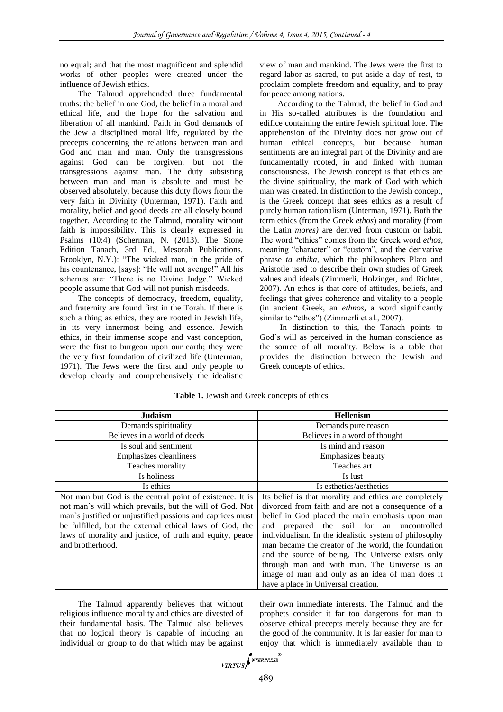no equal; and that the most magnificent and splendid works of other peoples were created under the influence of Jewish ethics.

The Talmud apprehended three fundamental truths: the belief in one God, the belief in a moral and ethical life, and the hope for the salvation and liberation of all mankind. Faith in God demands of the Jew a disciplined moral life, regulated by the precepts concerning the relations between man and God and man and man. Only the transgressions against God can be forgiven, but not the transgressions against man. The duty subsisting between man and man is absolute and must be observed absolutely, because this duty flows from the very faith in Divinity (Unterman, 1971). Faith and morality, belief and good deeds are all closely bound together. According to the Talmud, morality without faith is impossibility. This is clearly expressed in Psalms (10:4) (Scherman, N. (2013). The Stone Edition Tanach, 3rd Ed., Mesorah Publications, Brooklyn, N.Y.): "The wicked man, in the pride of his countenance, [says]: "He will not avenge!" All his schemes are: "There is no Divine Judge." Wicked people assume that God will not punish misdeeds.

The concepts of democracy, freedom, equality, and fraternity are found first in the Torah. If there is such a thing as ethics, they are rooted in Jewish life, in its very innermost being and essence. Jewish ethics, in their immense scope and vast conception, were the first to burgeon upon our earth; they were the very first foundation of civilized life (Unterman, 1971). The Jews were the first and only people to develop clearly and comprehensively the idealistic

view of man and mankind. The Jews were the first to regard labor as sacred, to put aside a day of rest, to proclaim complete freedom and equality, and to pray for peace among nations.

According to the Talmud, the belief in God and in His so-called attributes is the foundation and edifice containing the entire Jewish spiritual lore. The apprehension of the Divinity does not grow out of human ethical concepts, but because human sentiments are an integral part of the Divinity and are fundamentally rooted, in and linked with human consciousness. The Jewish concept is that ethics are the divine spirituality, the mark of God with which man was created. In distinction to the Jewish concept, is the Greek concept that sees ethics as a result of purely human rationalism (Unterman, 1971). Both the term ethics (from the Greek *ethos*) and morality (from the Latin *mores)* are derived from custom or habit. The word "ethics" comes from the Greek word *ethos,*  meaning "character" or "custom", and the derivative phrase *ta ethika,* which the philosophers Plato and Aristotle used to describe their own studies of Greek values and ideals (Zimmerli, Holzinger, and Richter, 2007). An ethos is that core of attitudes, beliefs, and feelings that gives coherence and vitality to a people (in ancient Greek, an *ethnos,* a word significantly similar to "ethos") (Zimmerli et al., 2007).

In distinction to this, the Tanach points to God`s will as perceived in the human conscience as the source of all morality. Below is a table that provides the distinction between the Jewish and Greek concepts of ethics.

| <b>Judaism</b>                                                                                                                                                                                                                                                                                                              | <b>Hellenism</b>                                                                                                                                                                                                                                                                                                                                                                                                                                                                       |
|-----------------------------------------------------------------------------------------------------------------------------------------------------------------------------------------------------------------------------------------------------------------------------------------------------------------------------|----------------------------------------------------------------------------------------------------------------------------------------------------------------------------------------------------------------------------------------------------------------------------------------------------------------------------------------------------------------------------------------------------------------------------------------------------------------------------------------|
| Demands spirituality                                                                                                                                                                                                                                                                                                        | Demands pure reason                                                                                                                                                                                                                                                                                                                                                                                                                                                                    |
| Believes in a world of deeds                                                                                                                                                                                                                                                                                                | Believes in a word of thought                                                                                                                                                                                                                                                                                                                                                                                                                                                          |
| Is soul and sentiment                                                                                                                                                                                                                                                                                                       | Is mind and reason                                                                                                                                                                                                                                                                                                                                                                                                                                                                     |
| Emphasizes cleanliness                                                                                                                                                                                                                                                                                                      | Emphasizes beauty                                                                                                                                                                                                                                                                                                                                                                                                                                                                      |
| Teaches morality                                                                                                                                                                                                                                                                                                            | Teaches art                                                                                                                                                                                                                                                                                                                                                                                                                                                                            |
| Is holiness                                                                                                                                                                                                                                                                                                                 | Is lust                                                                                                                                                                                                                                                                                                                                                                                                                                                                                |
| Is ethics                                                                                                                                                                                                                                                                                                                   | Is esthetics/aesthetics                                                                                                                                                                                                                                                                                                                                                                                                                                                                |
| Not man but God is the central point of existence. It is<br>not man's will which prevails, but the will of God. Not<br>man's justified or unjustified passions and caprices must<br>be fulfilled, but the external ethical laws of God, the<br>laws of morality and justice, of truth and equity, peace<br>and brotherhood. | Its belief is that morality and ethics are completely<br>divorced from faith and are not a consequence of a<br>belief in God placed the main emphasis upon man<br>prepared the soil for an uncontrolled<br>and<br>individualism. In the idealistic system of philosophy<br>man became the creator of the world, the foundation<br>and the source of being. The Universe exists only<br>through man and with man. The Universe is an<br>image of man and only as an idea of man does it |
|                                                                                                                                                                                                                                                                                                                             | have a place in Universal creation.                                                                                                                                                                                                                                                                                                                                                                                                                                                    |

**Table 1.** Jewish and Greek concepts of ethics

The Talmud apparently believes that without religious influence morality and ethics are divested of their fundamental basis. The Talmud also believes that no logical theory is capable of inducing an individual or group to do that which may be against

their own immediate interests. The Talmud and the prophets consider it far too dangerous for man to observe ethical precepts merely because they are for the good of the community. It is far easier for man to enjoy that which is immediately available than to

$$
\underbrace{\hspace{0.5cm}\textcolor{blue}{\mathit{VIRTUS}}\hspace{0.5cm}}^{\textcolor{blue}{\mathit{NTERPRESS}}}^{\textcolor{blue}{\mathit{NTERPRESS}}^{\mathit{R}}}
$$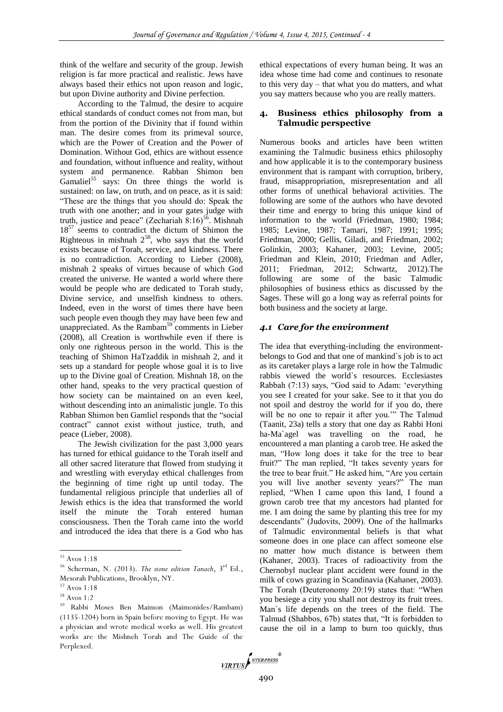think of the welfare and security of the group. Jewish religion is far more practical and realistic. Jews have always based their ethics not upon reason and logic, but upon Divine authority and Divine perfection.

According to the Talmud, the desire to acquire ethical standards of conduct comes not from man, but from the portion of the Divinity that if found within man. The desire comes from its primeval source, which are the Power of Creation and the Power of Domination. Without God, ethics are without essence and foundation, without influence and reality, without system and permanence. Rabban Shimon ben Gamaliel<sup>55</sup> says: On three things the world is sustained: on law, on truth, and on peace, as it is said: "These are the things that you should do: Speak the truth with one another; and in your gates judge with truth, justice and peace" (Zechariah  $8:16$ <sup>56</sup>. Mishnah  $18^{57}$  seems to contradict the dictum of Shimon the Righteous in mishnah  $2^{58}$ , who says that the world exists because of Torah, service, and kindness. There is no contradiction. According to Lieber (2008), mishnah 2 speaks of virtues because of which God created the universe. He wanted a world where there would be people who are dedicated to Torah study, Divine service, and unselfish kindness to others. Indeed, even in the worst of times there have been such people even though they may have been few and unappreciated. As the Rambam<sup>59</sup> comments in Lieber (2008), all Creation is worthwhile even if there is only one righteous person in the world. This is the teaching of Shimon HaTzaddik in mishnah 2, and it sets up a standard for people whose goal it is to live up to the Divine goal of Creation. Mishnah 18, on the other hand, speaks to the very practical question of how society can be maintained on an even keel, without descending into an animalistic jungle. To this Rabban Shimon ben Gamliel responds that the "social contract" cannot exist without justice, truth, and peace (Lieber, 2008).

The Jewish civilization for the past 3,000 years has turned for ethical guidance to the Torah itself and all other sacred literature that flowed from studying it and wrestling with everyday ethical challenges from the beginning of time right up until today. The fundamental religious principle that underlies all of Jewish ethics is the idea that transformed the world itself the minute the Torah entered human consciousness. Then the Torah came into the world and introduced the idea that there is a God who has

 $\overline{\phantom{a}}$ 

ethical expectations of every human being. It was an idea whose time had come and continues to resonate to this very day – that what you do matters, and what you say matters because who you are really matters.

#### **4. Business ethics philosophy from a Talmudic perspective**

Numerous books and articles have been written examining the Talmudic business ethics philosophy and how applicable it is to the contemporary business environment that is rampant with corruption, bribery, fraud, misappropriation, misrepresentation and all other forms of unethical behavioral activities. The following are some of the authors who have devoted their time and energy to bring this unique kind of information to the world (Friedman, 1980; 1984; 1985; Levine, 1987; Tamari, 1987; 1991; 1995; Friedman, 2000; Gellis, Giladi, and Friedman, 2002; Golinkin, 2003; Kahaner, 2003; Levine, 2005; Friedman and Klein, 2010; Friedman and Adler, 2011; Friedman, 2012; Schwartz, 2012).The following are some of the basic Talmudic philosophies of business ethics as discussed by the Sages. These will go a long way as referral points for both business and the society at large.

#### *4.1 Care for the environment*

The idea that everything-including the environmentbelongs to God and that one of mankind`s job is to act as its caretaker plays a large role in how the Talmudic rabbis viewed the world`s resources. Ecclesiastes Rabbah (7:13) says, "God said to Adam: 'everything you see I created for your sake. See to it that you do not spoil and destroy the world for if you do, there will be no one to repair it after you.'" The Talmud (Taanit, 23a) tells a story that one day as Rabbi Honi ha-Ma`agel was travelling on the road, he encountered a man planting a carob tree. He asked the man, "How long does it take for the tree to bear fruit?" The man replied, "It takes seventy years for the tree to bear fruit." He asked him, "Are you certain you will live another seventy years?" The man replied, "When I came upon this land, I found a grown carob tree that my ancestors had planted for me. I am doing the same by planting this tree for my descendants" (Judovits, 2009). One of the hallmarks of Talmudic environmental beliefs is that what someone does in one place can affect someone else no matter how much distance is between them (Kahaner, 2003). Traces of radioactivity from the Chernobyl nuclear plant accident were found in the milk of cows grazing in Scandinavia (Kahaner, 2003). The Torah (Deuteronomy 20:19) states that: "When you besiege a city you shall not destroy its fruit trees. Man`s life depends on the trees of the field. The Talmud (Shabbos, 67b) states that, "It is forbidden to cause the oil in a lamp to burn too quickly, thus



 $55$  Avos  $1.18$ 

<sup>56</sup> Scherman, N. (2013). *The stone edition Tanach*, 3rd Ed., Mesorah Publications, Brooklyn, NY.

<sup>57</sup> Avos 1:18

<sup>58</sup> Avos 1:2

<sup>59</sup> Rabbi Moses Ben Maimon (Maimonides/Rambam) (1135-1204) born in Spain before moving to Egypt. He was a physician and wrote medical works as well. His greatest works are the Mishneh Torah and The Guide of the Perplexed.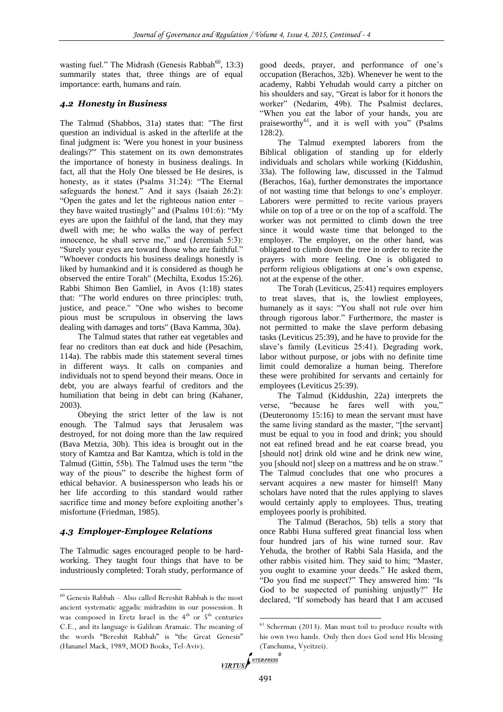wasting fuel." The Midrash (Genesis Rabbah $^{60}$ , 13:3) summarily states that, three things are of equal importance: earth, humans and rain.

# *4.2 Honesty in Business*

The Talmud (Shabbos, 31a) states that: "The first question an individual is asked in the afterlife at the final judgment is: 'Were you honest in your business dealings?'" This statement on its own demonstrates the importance of honesty in business dealings. In fact, all that the Holy One blessed be He desires, is honesty, as it states (Psalms 31:24): "The Eternal safeguards the honest." And it says (Isaiah 26:2): "Open the gates and let the righteous nation enter – they have waited trustingly" and (Psalms 101:6): "My eyes are upon the faithful of the land, that they may dwell with me; he who walks the way of perfect innocence, he shall serve me," and (Jeremiah 5:3): "Surely your eyes are toward those who are faithful." "Whoever conducts his business dealings honestly is liked by humankind and it is considered as though he observed the entire Torah" (Mechilta, Exodus 15:26). Rabbi Shimon Ben Gamliel, in Avos (1:18) states that: "The world endures on three principles: truth, justice, and peace." "One who wishes to become pious must be scrupulous in observing the laws dealing with damages and torts" (Bava Kamma, 30a).

The Talmud states that rather eat vegetables and fear no creditors than eat duck and hide (Pesachim, 114a). The rabbis made this statement several times in different ways. It calls on companies and individuals not to spend beyond their means. Once in debt, you are always fearful of creditors and the humiliation that being in debt can bring (Kahaner, 2003).

Obeying the strict letter of the law is not enough. The Talmud says that Jerusalem was destroyed, for not doing more than the law required (Bava Metzia, 30b). This idea is brought out in the story of Kamtza and Bar Kamtza, which is told in the Talmud (Gittin, 55b). The Talmud uses the term "the way of the pious" to describe the highest form of ethical behavior. A businessperson who leads his or her life according to this standard would rather sacrifice time and money before exploiting another's misfortune (Friedman, 1985).

# *4.3 Employer-Employee Relations*

l

The Talmudic sages encouraged people to be hardworking. They taught four things that have to be industriously completed: Torah study, performance of

good deeds, prayer, and performance of one's occupation (Berachos, 32b). Whenever he went to the academy, Rabbi Yehudah would carry a pitcher on his shoulders and say, "Great is labor for it honors the worker" (Nedarim, 49b). The Psalmist declares, "When you eat the labor of your hands, you are praiseworthy<sup>61</sup>, and it is well with you" (Psalms 128:2).

The Talmud exempted laborers from the Biblical obligation of standing up for elderly individuals and scholars while working (Kiddushin, 33a). The following law, discussed in the Talmud (Berachos, 16a), further demonstrates the importance of not wasting time that belongs to one's employer. Laborers were permitted to recite various prayers while on top of a tree or on the top of a scaffold. The worker was not permitted to climb down the tree since it would waste time that belonged to the employer. The employer, on the other hand, was obligated to climb down the tree in order to recite the prayers with more feeling. One is obligated to perform religious obligations at one's own expense, not at the expense of the other.

The Torah (Leviticus, 25:41) requires employers to treat slaves, that is, the lowliest employees, humanely as it says: "You shall not rule over him through rigorous labor." Furthermore, the master is not permitted to make the slave perform debasing tasks (Leviticus 25:39), and he have to provide for the slave's family (Leviticus 25:41). Degrading work, labor without purpose, or jobs with no definite time limit could demoralize a human being. Therefore these were prohibited for servants and certainly for employees (Leviticus 25:39).

The Talmud (Kiddushin, 22a) interprets the verse, "because he fares well with you," (Deuteronomy 15:16) to mean the servant must have the same living standard as the master, "[the servant] must be equal to you in food and drink; you should not eat refined bread and he eat coarse bread, you [should not] drink old wine and he drink new wine, you [should not] sleep on a mattress and he on straw." The Talmud concludes that one who procures a servant acquires a new master for himself! Many scholars have noted that the rules applying to slaves would certainly apply to employees. Thus, treating employees poorly is prohibited.

The Talmud (Berachos, 5b) tells a story that once Rabbi Huna suffered great financial loss when four hundred jars of his wine turned sour. Rav Yehuda, the brother of Rabbi Sala Hasida, and the other rabbis visited him. They said to him; "Master, you ought to examine your deeds." He asked them, "Do you find me suspect?" They answered him: "Is God to be suspected of punishing unjustly?" He declared, "If somebody has heard that I am accused

 $\rm^{60}$  Genesis Rabbah – Also called Bereshit Rabbah is the most ancient systematic aggadic midrashim in our possession. It was composed in Eretz Israel in the  $4<sup>th</sup>$  or  $5<sup>th</sup>$  centuries C.E., and its language is Galilean Aramaic. The meaning of the words "Bereshit Rabbah" is "the Great Genesis" (Hananel Mack, 1989, MOD Books, Tel-Aviv).

 $61$  Scherman (2013). Man must toil to produce results with his own two hands. Only then does God send His blessing (Tanchuma, Vyeitzei).<br>*VIRTUS*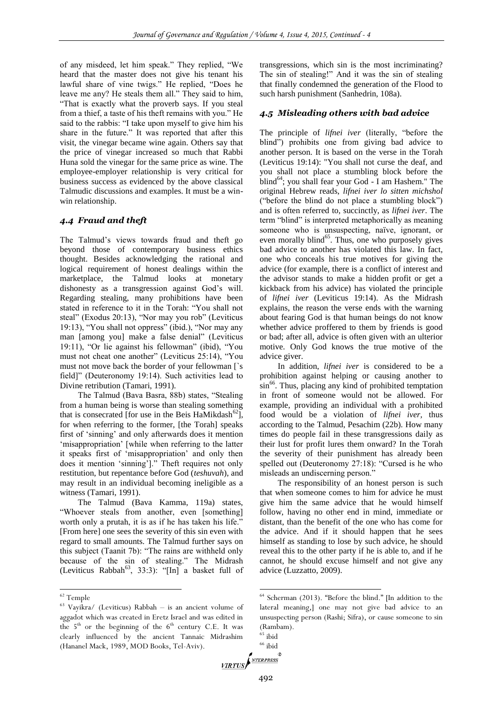of any misdeed, let him speak." They replied, "We heard that the master does not give his tenant his lawful share of vine twigs." He replied, "Does he leave me any? He steals them all." They said to him, "That is exactly what the proverb says. If you steal from a thief, a taste of his theft remains with you." He said to the rabbis: "I take upon myself to give him his share in the future." It was reported that after this visit, the vinegar became wine again. Others say that the price of vinegar increased so much that Rabbi Huna sold the vinegar for the same price as wine. The employee-employer relationship is very critical for business success as evidenced by the above classical Talmudic discussions and examples. It must be a winwin relationship.

## *4.4 Fraud and theft*

The Talmud's views towards fraud and theft go beyond those of contemporary business ethics thought. Besides acknowledging the rational and logical requirement of honest dealings within the marketplace, the Talmud looks at monetary dishonesty as a transgression against God's will. Regarding stealing, many prohibitions have been stated in reference to it in the Torah: "You shall not steal" (Exodus 20:13), "Nor may you rob" (Leviticus 19:13), "You shall not oppress" (ibid.), "Nor may any man [among you] make a false denial" (Leviticus 19:11), "Or lie against his fellowman" (ibid), "You must not cheat one another" (Leviticus 25:14), "You must not move back the border of your fellowman [`s field]" (Deuteronomy 19:14). Such activities lead to Divine retribution (Tamari, 1991).

The Talmud (Bava Basra, 88b) states, "Stealing from a human being is worse than stealing something that is consecrated [for use in the Beis HaMikdash<sup>62</sup>], for when referring to the former, [the Torah] speaks first of 'sinning' and only afterwards does it mention 'misappropriation' [while when referring to the latter it speaks first of 'misappropriation' and only then does it mention 'sinning']." Theft requires not only restitution, but repentance before God (*teshuvah*), and may result in an individual becoming ineligible as a witness (Tamari, 1991).

The Talmud (Bava Kamma, 119a) states, "Whoever steals from another, even [something] worth only a prutah, it is as if he has taken his life." [From here] one sees the severity of this sin even with regard to small amounts. The Talmud further says on this subject (Taanit 7b): "The rains are withheld only because of the sin of stealing." The Midrash (Leviticus Rabbah<sup>63</sup>, 33:3): "[In] a basket full of

l

transgressions, which sin is the most incriminating? The sin of stealing!" And it was the sin of stealing that finally condemned the generation of the Flood to such harsh punishment (Sanhedrin, 108a).

#### *4.5 Misleading others with bad advice*

The principle of *lifnei iver* (literally, "before the blind") prohibits one from giving bad advice to another person. It is based on the verse in the Torah (Leviticus 19:14): "You shall not curse the deaf, and you shall not place a stumbling block before the  $blind<sup>64</sup>$ ; you shall fear your God - I am Hashem." The original Hebrew reads, *lifnei iver lo sitten michshol*  ("before the blind do not place a stumbling block") and is often referred to, succinctly, as *lifnei iver*. The term "blind" is interpreted metaphorically as meaning someone who is unsuspecting, naïve, ignorant, or even morally blind<sup>65</sup>. Thus, one who purposely gives bad advice to another has violated this law. In fact, one who conceals his true motives for giving the advice (for example, there is a conflict of interest and the advisor stands to make a hidden profit or get a kickback from his advice) has violated the principle of *lifnei iver* (Leviticus 19:14). As the Midrash explains, the reason the verse ends with the warning about fearing God is that human beings do not know whether advice proffered to them by friends is good or bad; after all, advice is often given with an ulterior motive. Only God knows the true motive of the advice giver.

In addition, *lifnei iver* is considered to be a prohibition against helping or causing another to  $\sin^{66}$ . Thus, placing any kind of prohibited temptation in front of someone would not be allowed. For example, providing an individual with a prohibited food would be a violation of *lifnei iver,* thus according to the Talmud, Pesachim (22b). How many times do people fail in these transgressions daily as their lust for profit lures them onward? In the Torah the severity of their punishment has already been spelled out (Deuteronomy 27:18): "Cursed is he who misleads an undiscerning person."

The responsibility of an honest person is such that when someone comes to him for advice he must give him the same advice that he would himself follow, having no other end in mind, immediate or distant, than the benefit of the one who has come for the advice. And if it should happen that he sees himself as standing to lose by such advice, he should reveal this to the other party if he is able to, and if he cannot, he should excuse himself and not give any advice (Luzzatto, 2009).

.

<sup>62</sup> Temple

<sup>63</sup> Vayikra/ (Leviticus) Rabbah – is an ancient volume of aggadot which was created in Eretz Israel and was edited in the  $5<sup>th</sup>$  or the beginning of the  $6<sup>th</sup>$  century C.E. It was clearly influenced by the ancient Tannaic Midrashim (Hananel Mack, 1989, MOD Books, Tel-Aviv).

<sup>64</sup> Scherman (2013). "Before the blind." [In addition to the lateral meaning,] one may not give bad advice to an unsuspecting person (Rashi; Sifra), or cause someone to sin (Rambam).

 $65$  ibid

<sup>&</sup>lt;sup>66</sup> ibid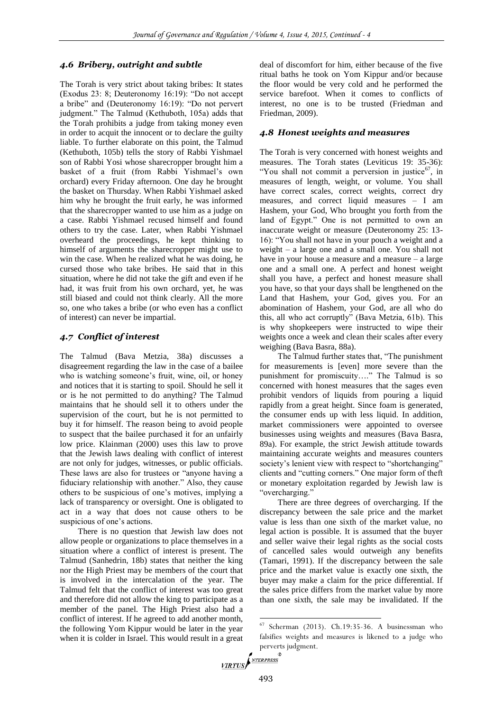#### *4.6 Bribery, outright and subtle*

The Torah is very strict about taking bribes: It states (Exodus 23: 8; Deuteronomy 16:19): "Do not accept a bribe" and (Deuteronomy 16:19): "Do not pervert judgment." The Talmud (Kethuboth, 105a) adds that the Torah prohibits a judge from taking money even in order to acquit the innocent or to declare the guilty liable. To further elaborate on this point, the Talmud (Kethuboth, 105b) tells the story of Rabbi Yishmael son of Rabbi Yosi whose sharecropper brought him a basket of a fruit (from Rabbi Yishmael's own orchard) every Friday afternoon. One day he brought the basket on Thursday. When Rabbi Yishmael asked him why he brought the fruit early, he was informed that the sharecropper wanted to use him as a judge on a case. Rabbi Yishmael recused himself and found others to try the case. Later, when Rabbi Yishmael overheard the proceedings, he kept thinking to himself of arguments the sharecropper might use to win the case. When he realized what he was doing, he cursed those who take bribes. He said that in this situation, where he did not take the gift and even if he had, it was fruit from his own orchard, yet, he was still biased and could not think clearly. All the more so, one who takes a bribe (or who even has a conflict of interest) can never be impartial.

# *4.7 Conflict of interest*

The Talmud (Bava Metzia, 38a) discusses a disagreement regarding the law in the case of a bailee who is watching someone's fruit, wine, oil, or honey and notices that it is starting to spoil. Should he sell it or is he not permitted to do anything? The Talmud maintains that he should sell it to others under the supervision of the court, but he is not permitted to buy it for himself. The reason being to avoid people to suspect that the bailee purchased it for an unfairly low price. Klainman (2000) uses this law to prove that the Jewish laws dealing with conflict of interest are not only for judges, witnesses, or public officials. These laws are also for trustees or "anyone having a fiduciary relationship with another." Also, they cause others to be suspicious of one's motives, implying a lack of transparency or oversight. One is obligated to act in a way that does not cause others to be suspicious of one's actions.

There is no question that Jewish law does not allow people or organizations to place themselves in a situation where a conflict of interest is present. The Talmud (Sanhedrin, 18b) states that neither the king nor the High Priest may be members of the court that is involved in the intercalation of the year. The Talmud felt that the conflict of interest was too great and therefore did not allow the king to participate as a member of the panel. The High Priest also had a conflict of interest. If he agreed to add another month, the following Yom Kippur would be later in the year when it is colder in Israel. This would result in a great

deal of discomfort for him, either because of the five ritual baths he took on Yom Kippur and/or because the floor would be very cold and he performed the service barefoot. When it comes to conflicts of interest, no one is to be trusted (Friedman and Friedman, 2009).

#### *4.8 Honest weights and measures*

The Torah is very concerned with honest weights and measures. The Torah states (Leviticus 19: 35-36): "You shall not commit a perversion in justice $^{67}$ , in measures of length, weight, or volume. You shall have correct scales, correct weights, correct dry measures, and correct liquid measures – I am Hashem, your God, Who brought you forth from the land of Egypt." One is not permitted to own an inaccurate weight or measure (Deuteronomy 25: 13- 16): "You shall not have in your pouch a weight and a weight – a large one and a small one. You shall not have in your house a measure and a measure  $-$  a large one and a small one. A perfect and honest weight shall you have, a perfect and honest measure shall you have, so that your days shall be lengthened on the Land that Hashem, your God, gives you. For an abomination of Hashem, your God, are all who do this, all who act corruptly" (Bava Metzia, 61b). This is why shopkeepers were instructed to wipe their weights once a week and clean their scales after every weighing (Bava Basra, 88a).

The Talmud further states that, "The punishment for measurements is [even] more severe than the punishment for promiscuity…." The Talmud is so concerned with honest measures that the sages even prohibit vendors of liquids from pouring a liquid rapidly from a great height. Since foam is generated, the consumer ends up with less liquid. In addition, market commissioners were appointed to oversee businesses using weights and measures (Bava Basra, 89a). For example, the strict Jewish attitude towards maintaining accurate weights and measures counters society's lenient view with respect to "shortchanging" clients and "cutting corners." One major form of theft or monetary exploitation regarded by Jewish law is "overcharging."

There are three degrees of overcharging. If the discrepancy between the sale price and the market value is less than one sixth of the market value, no legal action is possible. It is assumed that the buyer and seller waive their legal rights as the social costs of cancelled sales would outweigh any benefits (Tamari, 1991). If the discrepancy between the sale price and the market value is exactly one sixth, the buyer may make a claim for the price differential. If the sales price differs from the market value by more than one sixth, the sale may be invalidated. If the

 $67$  Scherman (2013). Ch.19:35-36. A businessman who falsifies weights and measures is likened to a judge who perverts judgment.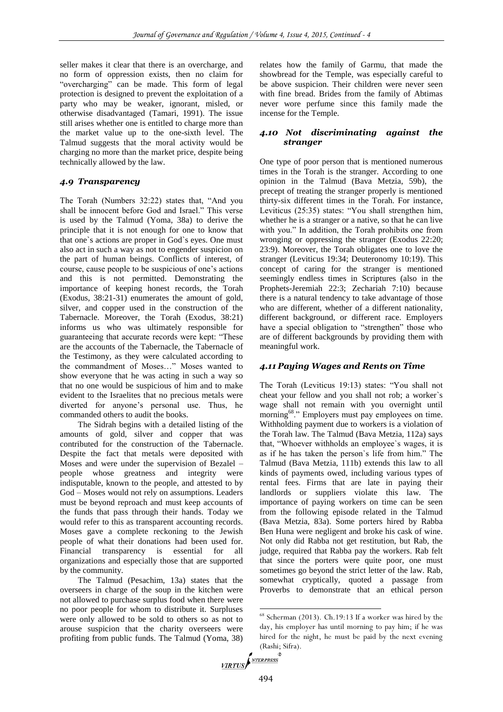seller makes it clear that there is an overcharge, and no form of oppression exists, then no claim for "overcharging" can be made. This form of legal protection is designed to prevent the exploitation of a party who may be weaker, ignorant, misled, or otherwise disadvantaged (Tamari, 1991). The issue still arises whether one is entitled to charge more than the market value up to the one-sixth level. The Talmud suggests that the moral activity would be charging no more than the market price, despite being technically allowed by the law.

# *4.9 Transparency*

The Torah (Numbers 32:22) states that, "And you shall be innocent before God and Israel." This verse is used by the Talmud (Yoma, 38a) to derive the principle that it is not enough for one to know that that one`s actions are proper in God`s eyes. One must also act in such a way as not to engender suspicion on the part of human beings. Conflicts of interest, of course, cause people to be suspicious of one's actions and this is not permitted. Demonstrating the importance of keeping honest records, the Torah (Exodus, 38:21-31) enumerates the amount of gold, silver, and copper used in the construction of the Tabernacle. Moreover, the Torah (Exodus, 38:21) informs us who was ultimately responsible for guaranteeing that accurate records were kept: "These are the accounts of the Tabernacle, the Tabernacle of the Testimony, as they were calculated according to the commandment of Moses…" Moses wanted to show everyone that he was acting in such a way so that no one would be suspicious of him and to make evident to the Israelites that no precious metals were diverted for anyone's personal use. Thus, he commanded others to audit the books.

The Sidrah begins with a detailed listing of the amounts of gold, silver and copper that was contributed for the construction of the Tabernacle. Despite the fact that metals were deposited with Moses and were under the supervision of Bezalel – people whose greatness and integrity were indisputable, known to the people, and attested to by God – Moses would not rely on assumptions. Leaders must be beyond reproach and must keep accounts of the funds that pass through their hands. Today we would refer to this as transparent accounting records. Moses gave a complete reckoning to the Jewish people of what their donations had been used for. Financial transparency is essential for all organizations and especially those that are supported by the community.

The Talmud (Pesachim, 13a) states that the overseers in charge of the soup in the kitchen were not allowed to purchase surplus food when there were no poor people for whom to distribute it. Surpluses were only allowed to be sold to others so as not to arouse suspicion that the charity overseers were profiting from public funds. The Talmud (Yoma, 38)

relates how the family of Garmu, that made the showbread for the Temple, was especially careful to be above suspicion. Their children were never seen with fine bread. Brides from the family of Abtimas never wore perfume since this family made the incense for the Temple.

## *4.10 Not discriminating against the stranger*

One type of poor person that is mentioned numerous times in the Torah is the stranger. According to one opinion in the Talmud (Bava Metzia, 59b), the precept of treating the stranger properly is mentioned thirty-six different times in the Torah. For instance, Leviticus (25:35) states: "You shall strengthen him, whether he is a stranger or a native, so that he can live with you." In addition, the Torah prohibits one from wronging or oppressing the stranger (Exodus 22:20; 23:9). Moreover, the Torah obligates one to love the stranger (Leviticus 19:34; Deuteronomy 10:19). This concept of caring for the stranger is mentioned seemingly endless times in Scriptures (also in the Prophets-Jeremiah 22:3; Zechariah 7:10) because there is a natural tendency to take advantage of those who are different, whether of a different nationality, different background, or different race. Employers have a special obligation to "strengthen" those who are of different backgrounds by providing them with meaningful work.

## *4.11 Paying Wages and Rents on Time*

The Torah (Leviticus 19:13) states: "You shall not cheat your fellow and you shall not rob; a worker`s wage shall not remain with you overnight until morning<sup>68</sup>." Employers must pay employees on time. Withholding payment due to workers is a violation of the Torah law. The Talmud (Bava Metzia, 112a) says that, "Whoever withholds an employee`s wages, it is as if he has taken the person`s life from him." The Talmud (Bava Metzia, 111b) extends this law to all kinds of payments owed, including various types of rental fees. Firms that are late in paying their landlords or suppliers violate this law. The importance of paying workers on time can be seen from the following episode related in the Talmud (Bava Metzia, 83a). Some porters hired by Rabba Ben Huna were negligent and broke his cask of wine. Not only did Rabba not get restitution, but Rab, the judge, required that Rabba pay the workers. Rab felt that since the porters were quite poor, one must sometimes go beyond the strict letter of the law. Rab, somewhat cryptically, quoted a passage from Proverbs to demonstrate that an ethical person

```
(Rashi; Sifra).<br>VIRTUS
```
<sup>68</sup> Scherman (2013). Ch.19:13 If a worker was hired by the day, his employer has until morning to pay him; if he was hired for the night, he must be paid by the next evening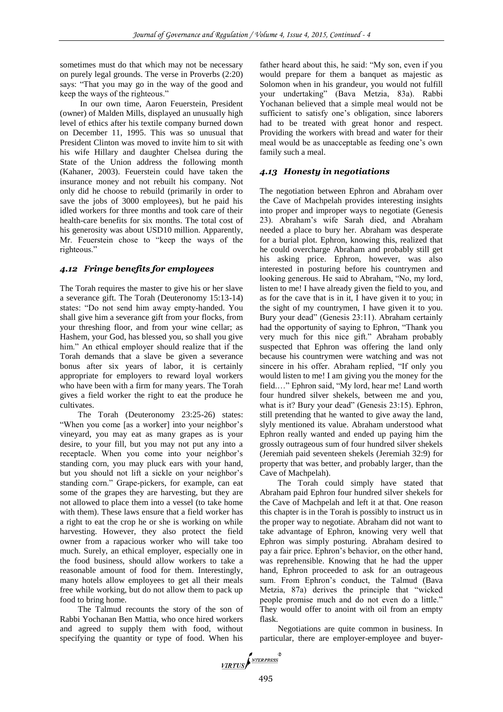sometimes must do that which may not be necessary on purely legal grounds. The verse in Proverbs (2:20) says: "That you may go in the way of the good and keep the ways of the righteous."

In our own time, Aaron Feuerstein, President (owner) of Malden Mills, displayed an unusually high level of ethics after his textile company burned down on December 11, 1995. This was so unusual that President Clinton was moved to invite him to sit with his wife Hillary and daughter Chelsea during the State of the Union address the following month (Kahaner, 2003). Feuerstein could have taken the insurance money and not rebuilt his company. Not only did he choose to rebuild (primarily in order to save the jobs of 3000 employees), but he paid his idled workers for three months and took care of their health-care benefits for six months. The total cost of his generosity was about USD10 million. Apparently, Mr. Feuerstein chose to "keep the ways of the righteous."

## *4.12 Fringe benefits for employees*

The Torah requires the master to give his or her slave a severance gift. The Torah (Deuteronomy 15:13-14) states: "Do not send him away empty-handed. You shall give him a severance gift from your flocks, from your threshing floor, and from your wine cellar; as Hashem, your God, has blessed you, so shall you give him." An ethical employer should realize that if the Torah demands that a slave be given a severance bonus after six years of labor, it is certainly appropriate for employers to reward loyal workers who have been with a firm for many years. The Torah gives a field worker the right to eat the produce he cultivates.

The Torah (Deuteronomy 23:25-26) states: "When you come [as a worker] into your neighbor's vineyard, you may eat as many grapes as is your desire, to your fill, but you may not put any into a receptacle. When you come into your neighbor's standing corn, you may pluck ears with your hand, but you should not lift a sickle on your neighbor's standing corn." Grape-pickers, for example, can eat some of the grapes they are harvesting, but they are not allowed to place them into a vessel (to take home with them). These laws ensure that a field worker has a right to eat the crop he or she is working on while harvesting. However, they also protect the field owner from a rapacious worker who will take too much. Surely, an ethical employer, especially one in the food business, should allow workers to take a reasonable amount of food for them. Interestingly, many hotels allow employees to get all their meals free while working, but do not allow them to pack up food to bring home.

The Talmud recounts the story of the son of Rabbi Yochanan Ben Mattia, who once hired workers and agreed to supply them with food, without specifying the quantity or type of food. When his father heard about this, he said: "My son, even if you would prepare for them a banquet as majestic as Solomon when in his grandeur, you would not fulfill your undertaking" (Bava Metzia, 83a). Rabbi Yochanan believed that a simple meal would not be sufficient to satisfy one's obligation, since laborers had to be treated with great honor and respect. Providing the workers with bread and water for their meal would be as unacceptable as feeding one's own family such a meal.

# *4.13 Honesty in negotiations*

The negotiation between Ephron and Abraham over the Cave of Machpelah provides interesting insights into proper and improper ways to negotiate (Genesis 23). Abraham's wife Sarah died, and Abraham needed a place to bury her. Abraham was desperate for a burial plot. Ephron, knowing this, realized that he could overcharge Abraham and probably still get his asking price. Ephron, however, was also interested in posturing before his countrymen and looking generous. He said to Abraham, "No, my lord, listen to me! I have already given the field to you, and as for the cave that is in it, I have given it to you; in the sight of my countrymen, I have given it to you. Bury your dead" (Genesis 23:11). Abraham certainly had the opportunity of saying to Ephron, "Thank you very much for this nice gift." Abraham probably suspected that Ephron was offering the land only because his countrymen were watching and was not sincere in his offer. Abraham replied, "If only you would listen to me! I am giving you the money for the field.…" Ephron said, "My lord, hear me! Land worth four hundred silver shekels, between me and you, what is it? Bury your dead" (Genesis 23:15). Ephron, still pretending that he wanted to give away the land, slyly mentioned its value. Abraham understood what Ephron really wanted and ended up paying him the grossly outrageous sum of four hundred silver shekels (Jeremiah paid seventeen shekels (Jeremiah 32:9) for property that was better, and probably larger, than the Cave of Machpelah).

The Torah could simply have stated that Abraham paid Ephron four hundred silver shekels for the Cave of Machpelah and left it at that. One reason this chapter is in the Torah is possibly to instruct us in the proper way to negotiate. Abraham did not want to take advantage of Ephron, knowing very well that Ephron was simply posturing. Abraham desired to pay a fair price. Ephron's behavior, on the other hand, was reprehensible. Knowing that he had the upper hand, Ephron proceeded to ask for an outrageous sum. From Ephron's conduct, the Talmud (Bava Metzia, 87a) derives the principle that "wicked people promise much and do not even do a little." They would offer to anoint with oil from an empty flask.

Negotiations are quite common in business. In particular, there are employer-employee and buyer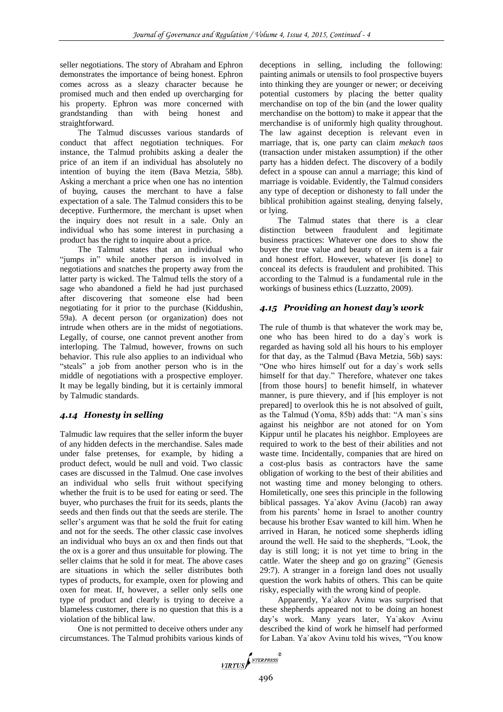seller negotiations. The story of Abraham and Ephron demonstrates the importance of being honest. Ephron comes across as a sleazy character because he promised much and then ended up overcharging for his property. Ephron was more concerned with grandstanding than with being honest and straightforward.

The Talmud discusses various standards of conduct that affect negotiation techniques. For instance, the Talmud prohibits asking a dealer the price of an item if an individual has absolutely no intention of buying the item (Bava Metzia, 58b). Asking a merchant a price when one has no intention of buying, causes the merchant to have a false expectation of a sale. The Talmud considers this to be deceptive. Furthermore, the merchant is upset when the inquiry does not result in a sale. Only an individual who has some interest in purchasing a product has the right to inquire about a price.

The Talmud states that an individual who "jumps in" while another person is involved in negotiations and snatches the property away from the latter party is wicked. The Talmud tells the story of a sage who abandoned a field he had just purchased after discovering that someone else had been negotiating for it prior to the purchase (Kiddushin, 59a). A decent person (or organization) does not intrude when others are in the midst of negotiations. Legally, of course, one cannot prevent another from interloping. The Talmud, however, frowns on such behavior. This rule also applies to an individual who "steals" a job from another person who is in the middle of negotiations with a prospective employer. It may be legally binding, but it is certainly immoral by Talmudic standards.

## *4.14 Honesty in selling*

Talmudic law requires that the seller inform the buyer of any hidden defects in the merchandise. Sales made under false pretenses, for example, by hiding a product defect, would be null and void. Two classic cases are discussed in the Talmud. One case involves an individual who sells fruit without specifying whether the fruit is to be used for eating or seed. The buyer, who purchases the fruit for its seeds, plants the seeds and then finds out that the seeds are sterile. The seller's argument was that he sold the fruit for eating and not for the seeds. The other classic case involves an individual who buys an ox and then finds out that the ox is a gorer and thus unsuitable for plowing. The seller claims that he sold it for meat. The above cases are situations in which the seller distributes both types of products, for example, oxen for plowing and oxen for meat. If, however, a seller only sells one type of product and clearly is trying to deceive a blameless customer, there is no question that this is a violation of the biblical law.

One is not permitted to deceive others under any circumstances. The Talmud prohibits various kinds of deceptions in selling, including the following: painting animals or utensils to fool prospective buyers into thinking they are younger or newer; or deceiving potential customers by placing the better quality merchandise on top of the bin (and the lower quality merchandise on the bottom) to make it appear that the merchandise is of uniformly high quality throughout. The law against deception is relevant even in marriage, that is, one party can claim *mekach taos* (transaction under mistaken assumption) if the other party has a hidden defect. The discovery of a bodily defect in a spouse can annul a marriage; this kind of marriage is voidable. Evidently, the Talmud considers any type of deception or dishonesty to fall under the biblical prohibition against stealing, denying falsely, or lying.

The Talmud states that there is a clear distinction between fraudulent and legitimate business practices: Whatever one does to show the buyer the true value and beauty of an item is a fair and honest effort. However, whatever [is done] to conceal its defects is fraudulent and prohibited. This according to the Talmud is a fundamental rule in the workings of business ethics (Luzzatto, 2009).

# *4.15 Providing an honest day's work*

The rule of thumb is that whatever the work may be, one who has been hired to do a day`s work is regarded as having sold all his hours to his employer for that day, as the Talmud (Bava Metzia, 56b) says: "One who hires himself out for a day`s work sells himself for that day." Therefore, whatever one takes [from those hours] to benefit himself, in whatever manner, is pure thievery, and if [his employer is not prepared] to overlook this he is not absolved of guilt, as the Talmud (Yoma, 85b) adds that: "A man`s sins against his neighbor are not atoned for on Yom Kippur until he placates his neighbor. Employees are required to work to the best of their abilities and not waste time. Incidentally, companies that are hired on a cost-plus basis as contractors have the same obligation of working to the best of their abilities and not wasting time and money belonging to others. Homiletically, one sees this principle in the following biblical passages. Ya`akov Avinu (Jacob) ran away from his parents' home in Israel to another country because his brother Esav wanted to kill him. When he arrived in Haran, he noticed some shepherds idling around the well. He said to the shepherds, "Look, the day is still long; it is not yet time to bring in the cattle. Water the sheep and go on grazing" (Genesis 29:7). A stranger in a foreign land does not usually question the work habits of others. This can be quite risky, especially with the wrong kind of people.

Apparently, Ya`akov Avinu was surprised that these shepherds appeared not to be doing an honest day's work. Many years later, Ya`akov Avinu described the kind of work he himself had performed for Laban. Ya`akov Avinu told his wives, "You know

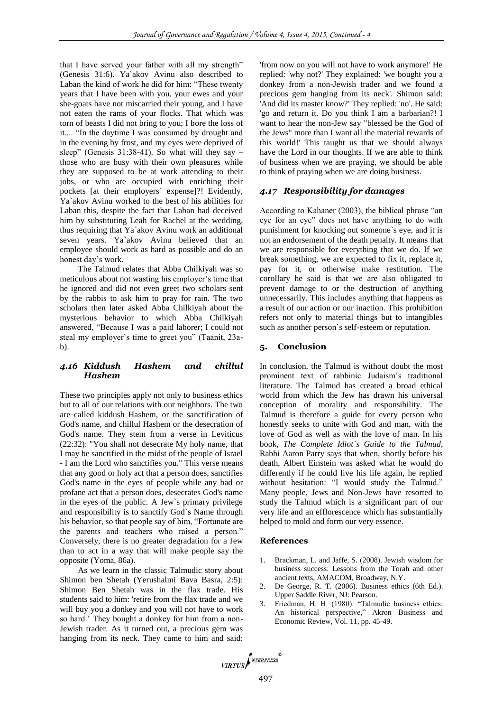that I have served your father with all my strength" (Genesis 31:6). Ya`akov Avinu also described to Laban the kind of work he did for him: "These twenty years that I have been with you, your ewes and your she-goats have not miscarried their young, and I have not eaten the rams of your flocks. That which was torn of beasts I did not bring to you; I bore the loss of it.... "In the daytime I was consumed by drought and in the evening by frost, and my eyes were deprived of sleep" (Genesis  $31:38-41$ ). So what will they say – those who are busy with their own pleasures while they are supposed to be at work attending to their jobs, or who are occupied with enriching their pockets [at their employers` expense]?! Evidently, Ya`akov Avinu worked to the best of his abilities for Laban this, despite the fact that Laban had deceived him by substituting Leah for Rachel at the wedding, thus requiring that Ya`akov Avinu work an additional seven years. Ya`akov Avinu believed that an employee should work as hard as possible and do an honest day's work.

The Talmud relates that Abba Chilkiyah was so meticulous about not wasting his employer's time that he ignored and did not even greet two scholars sent by the rabbis to ask him to pray for rain. The two scholars then later asked Abba Chilkiyah about the mysterious behavior to which Abba Chilkiyah answered, "Because I was a paid laborer; I could not steal my employer`s time to greet you" (Taanit, 23ab).

#### *4.16 Kiddush Hashem and chillul Hashem*

These two principles apply not only to business ethics but to all of our relations with our neighbors. The two are called kiddush Hashem, or the sanctification of God's name, and chillul Hashem or the desecration of God's name. They stem from a verse in Leviticus (22:32): "You shall not desecrate My holy name, that I may be sanctified in the midst of the people of Israel - I am the Lord who sanctifies you." This verse means that any good or holy act that a person does, sanctifies God's name in the eyes of people while any bad or profane act that a person does, desecrates God's name in the eyes of the public. A Jew`s primary privilege and responsibility is to sanctify God`s Name through his behavior, so that people say of him, "Fortunate are the parents and teachers who raised a person." Conversely, there is no greater degradation for a Jew than to act in a way that will make people say the opposite (Yoma, 86a).

As we learn in the classic Talmudic story about Shimon ben Shetah (Yerushalmi Bava Basra, 2:5): Shimon Ben Shetah was in the flax trade. His students said to him: 'retire from the flax trade and we will buy you a donkey and you will not have to work so hard.' They bought a donkey for him from a non-Jewish trader. As it turned out, a precious gem was hanging from its neck. They came to him and said:

'from now on you will not have to work anymore!' He replied: 'why not?' They explained: 'we bought you a donkey from a non-Jewish trader and we found a precious gem hanging from its neck'. Shimon said: 'And did its master know?' They replied: 'no'. He said: 'go and return it. Do you think I am a barbarian?! I want to hear the non-Jew say "blessed be the God of the Jews" more than I want all the material rewards of this world!' This taught us that we should always have the Lord in our thoughts. If we are able to think of business when we are praying, we should be able to think of praying when we are doing business.

# *4.17 Responsibility for damages*

According to Kahaner (2003), the biblical phrase "an eye for an eye" does not have anything to do with punishment for knocking out someone`s eye, and it is not an endorsement of the death penalty. It means that we are responsible for everything that we do. If we break something, we are expected to fix it, replace it, pay for it, or otherwise make restitution. The corollary he said is that we are also obligated to prevent damage to or the destruction of anything unnecessarily. This includes anything that happens as a result of our action or our inaction. This prohibition refers not only to material things but to intangibles such as another person`s self-esteem or reputation.

## **5. Conclusion**

In conclusion, the Talmud is without doubt the most prominent text of rabbinic Judaism's traditional literature. The Talmud has created a broad ethical world from which the Jew has drawn his universal conception of morality and responsibility. The Talmud is therefore a guide for every person who honestly seeks to unite with God and man, with the love of God as well as with the love of man. In his book, *The Complete Idiot`s Guide to the Talmud*, Rabbi Aaron Parry says that when, shortly before his death, Albert Einstein was asked what he would do differently if he could live his life again, he replied without hesitation: "I would study the Talmud." Many people, Jews and Non-Jews have resorted to study the Talmud which is a significant part of our very life and an efflorescence which has substantially helped to mold and form our very essence.

## **References**

- 1. Brackman, L. and Jaffe, S. (2008). Jewish wisdom for business success: Lessons from the Torah and other ancient texts, AMACOM, Broadway, N.Y.
- 2. De George, R. T. (2006). Business ethics (6th Ed.). Upper Saddle River, NJ: Pearson.
- 3. Friedman, H. H. (1980). "Talmudic business ethics: An historical perspective," Akron Business and Economic Review, Vol. 11, pp. 45-49.